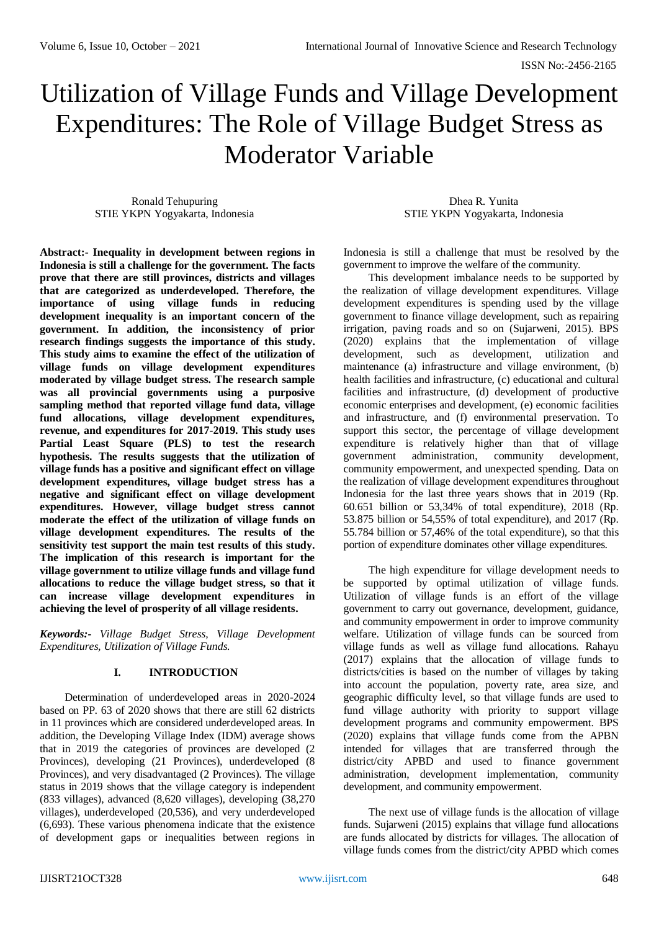# Utilization of Village Funds and Village Development Expenditures: The Role of Village Budget Stress as Moderator Variable

Ronald Tehupuring STIE YKPN Yogyakarta, Indonesia

Dhea R. Yunita STIE YKPN Yogyakarta, Indonesia

**Abstract:- Inequality in development between regions in Indonesia is still a challenge for the government. The facts prove that there are still provinces, districts and villages that are categorized as underdeveloped. Therefore, the importance of using village funds in reducing development inequality is an important concern of the government. In addition, the inconsistency of prior research findings suggests the importance of this study. This study aims to examine the effect of the utilization of village funds on village development expenditures moderated by village budget stress. The research sample was all provincial governments using a purposive sampling method that reported village fund data, village fund allocations, village development expenditures, revenue, and expenditures for 2017-2019. This study uses Partial Least Square (PLS) to test the research hypothesis. The results suggests that the utilization of village funds has a positive and significant effect on village development expenditures, village budget stress has a negative and significant effect on village development expenditures. However, village budget stress cannot moderate the effect of the utilization of village funds on village development expenditures. The results of the sensitivity test support the main test results of this study. The implication of this research is important for the village government to utilize village funds and village fund allocations to reduce the village budget stress, so that it can increase village development expenditures in achieving the level of prosperity of all village residents.**

*Keywords:- Village Budget Stress, Village Development Expenditures, Utilization of Village Funds.*

## **I. INTRODUCTION**

Determination of underdeveloped areas in 2020-2024 based on PP. 63 of 2020 shows that there are still 62 districts in 11 provinces which are considered underdeveloped areas. In addition, the Developing Village Index (IDM) average shows that in 2019 the categories of provinces are developed (2 Provinces), developing (21 Provinces), underdeveloped (8 Provinces), and very disadvantaged (2 Provinces). The village status in 2019 shows that the village category is independent (833 villages), advanced (8,620 villages), developing (38,270 villages), underdeveloped (20,536), and very underdeveloped (6,693). These various phenomena indicate that the existence of development gaps or inequalities between regions in

Indonesia is still a challenge that must be resolved by the government to improve the welfare of the community.

This development imbalance needs to be supported by the realization of village development expenditures. Village development expenditures is spending used by the village government to finance village development, such as repairing irrigation, paving roads and so on (Sujarweni, 2015). BPS (2020) explains that the implementation of village development, such as development, utilization and maintenance (a) infrastructure and village environment, (b) health facilities and infrastructure, (c) educational and cultural facilities and infrastructure, (d) development of productive economic enterprises and development, (e) economic facilities and infrastructure, and (f) environmental preservation. To support this sector, the percentage of village development expenditure is relatively higher than that of village government administration, community development, community empowerment, and unexpected spending. Data on the realization of village development expenditures throughout Indonesia for the last three years shows that in 2019 (Rp. 60.651 billion or 53,34% of total expenditure), 2018 (Rp. 53.875 billion or 54,55% of total expenditure), and 2017 (Rp. 55.784 billion or 57,46% of the total expenditure), so that this portion of expenditure dominates other village expenditures.

The high expenditure for village development needs to be supported by optimal utilization of village funds. Utilization of village funds is an effort of the village government to carry out governance, development, guidance, and community empowerment in order to improve community welfare. Utilization of village funds can be sourced from village funds as well as village fund allocations. Rahayu (2017) explains that the allocation of village funds to districts/cities is based on the number of villages by taking into account the population, poverty rate, area size, and geographic difficulty level, so that village funds are used to fund village authority with priority to support village development programs and community empowerment. BPS (2020) explains that village funds come from the APBN intended for villages that are transferred through the district/city APBD and used to finance government administration, development implementation, community development, and community empowerment.

The next use of village funds is the allocation of village funds. Sujarweni (2015) explains that village fund allocations are funds allocated by districts for villages. The allocation of village funds comes from the district/city APBD which comes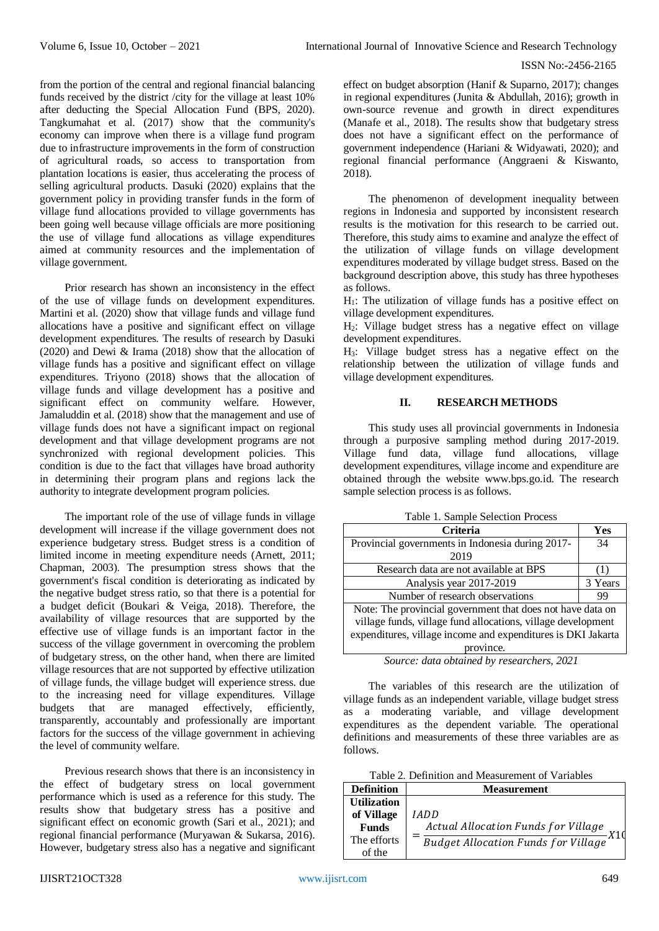from the portion of the central and regional financial balancing funds received by the district /city for the village at least 10% after deducting the Special Allocation Fund (BPS, 2020). Tangkumahat et al. (2017) show that the community's economy can improve when there is a village fund program due to infrastructure improvements in the form of construction of agricultural roads, so access to transportation from plantation locations is easier, thus accelerating the process of selling agricultural products. Dasuki (2020) explains that the government policy in providing transfer funds in the form of village fund allocations provided to village governments has been going well because village officials are more positioning the use of village fund allocations as village expenditures aimed at community resources and the implementation of village government.

Prior research has shown an inconsistency in the effect of the use of village funds on development expenditures. Martini et al. (2020) show that village funds and village fund allocations have a positive and significant effect on village development expenditures. The results of research by Dasuki (2020) and Dewi & Irama (2018) show that the allocation of village funds has a positive and significant effect on village expenditures. Triyono (2018) shows that the allocation of village funds and village development has a positive and significant effect on community welfare. However, Jamaluddin et al. (2018) show that the management and use of village funds does not have a significant impact on regional development and that village development programs are not synchronized with regional development policies. This condition is due to the fact that villages have broad authority in determining their program plans and regions lack the authority to integrate development program policies.

The important role of the use of village funds in village development will increase if the village government does not experience budgetary stress. Budget stress is a condition of limited income in meeting expenditure needs (Arnett, 2011; Chapman, 2003). The presumption stress shows that the government's fiscal condition is deteriorating as indicated by the negative budget stress ratio, so that there is a potential for a budget deficit (Boukari & Veiga, 2018). Therefore, the availability of village resources that are supported by the effective use of village funds is an important factor in the success of the village government in overcoming the problem of budgetary stress, on the other hand, when there are limited village resources that are not supported by effective utilization of village funds, the village budget will experience stress. due to the increasing need for village expenditures. Village budgets that are managed effectively, efficiently, transparently, accountably and professionally are important factors for the success of the village government in achieving the level of community welfare.

Previous research shows that there is an inconsistency in the effect of budgetary stress on local government performance which is used as a reference for this study. The results show that budgetary stress has a positive and significant effect on economic growth (Sari et al., 2021); and regional financial performance (Muryawan & Sukarsa, 2016). However, budgetary stress also has a negative and significant effect on budget absorption (Hanif & Suparno, 2017); changes in regional expenditures (Junita & Abdullah, 2016); growth in own-source revenue and growth in direct expenditures (Manafe et al., 2018). The results show that budgetary stress does not have a significant effect on the performance of government independence (Hariani & Widyawati, 2020); and regional financial performance (Anggraeni & Kiswanto, 2018).

The phenomenon of development inequality between regions in Indonesia and supported by inconsistent research results is the motivation for this research to be carried out. Therefore, this study aims to examine and analyze the effect of the utilization of village funds on village development expenditures moderated by village budget stress. Based on the background description above, this study has three hypotheses as follows.

 $H<sub>1</sub>$ : The utilization of village funds has a positive effect on village development expenditures.

H2: Village budget stress has a negative effect on village development expenditures.

H3: Village budget stress has a negative effect on the relationship between the utilization of village funds and village development expenditures.

## **II. RESEARCH METHODS**

This study uses all provincial governments in Indonesia through a purposive sampling method during 2017-2019. Village fund data, village fund allocations, village development expenditures, village income and expenditure are obtained through the website www.bps.go.id. The research sample selection process is as follows.

| <b>Criteria</b>                                              | Yes     |  |
|--------------------------------------------------------------|---------|--|
| Provincial governments in Indonesia during 2017-             | 34      |  |
| 2019                                                         |         |  |
| Research data are not available at BPS                       |         |  |
| Analysis year 2017-2019                                      | 3 Years |  |
| Number of research observations                              | 99      |  |
| Note: The provincial government that does not have data on   |         |  |
| village funds, village fund allocations, village development |         |  |
| expenditures, village income and expenditures is DKI Jakarta |         |  |
| province.                                                    |         |  |
| Source: data obtained by researchers, 2021                   |         |  |

The variables of this research are the utilization of village funds as an independent variable, village budget stress as a moderating variable, and village development expenditures as the dependent variable. The operational definitions and measurements of these three variables are as follows.

Table 2. Definition and Measurement of Variables

| <b>Definition</b>  | <b>Measurement</b>                  |
|--------------------|-------------------------------------|
| <b>Utilization</b> |                                     |
| of Village         | IADD                                |
| <b>Funds</b>       | Actual Allocation Funds for Village |
| The efforts        | Budget Allocation Funds for Village |
| of the             |                                     |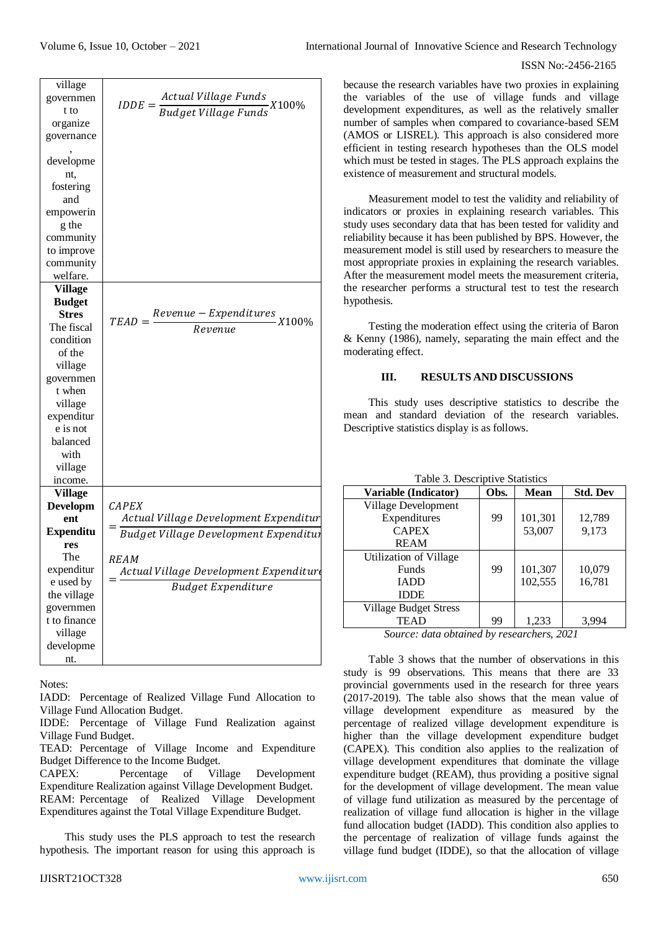| village<br>governmen<br>t to<br>organize<br>governance | Actual Village Funds<br>$IDDE = \frac{1}{Budget \, Village \, Funds}$<br>X100% | beca<br>the<br>deve<br>num<br>(AN |
|--------------------------------------------------------|--------------------------------------------------------------------------------|-----------------------------------|
| developme<br>nt,<br>fostering                          |                                                                                | effic<br>whi<br>exis              |
| and<br>empowerin<br>g the                              |                                                                                | indi<br>stud                      |
| community                                              |                                                                                | relia                             |
| to improve                                             |                                                                                | mea                               |
| community                                              |                                                                                | mos                               |
| welfare.                                               |                                                                                | Afte                              |
| <b>Village</b>                                         |                                                                                | the                               |
| <b>Budget</b><br><b>Stres</b>                          |                                                                                | hyp                               |
| The fiscal                                             | $Revenue - Expenditures \times 100\%$<br>$TEAD =$                              |                                   |
| condition                                              | Revenue                                                                        | & K                               |
| of the                                                 |                                                                                | moc                               |
| village                                                |                                                                                |                                   |
| governmen                                              |                                                                                |                                   |
| t when                                                 |                                                                                |                                   |
| village                                                |                                                                                |                                   |
| expenditur                                             |                                                                                | mea                               |
| e is not                                               |                                                                                | Des                               |
| balanced                                               |                                                                                |                                   |
| with                                                   |                                                                                |                                   |
| village                                                |                                                                                |                                   |
| income.                                                |                                                                                |                                   |
| <b>Village</b>                                         |                                                                                |                                   |
| <b>Developm</b>                                        | <b>CAPEX</b>                                                                   |                                   |
| ent                                                    | Actual Village Development Expenditur                                          |                                   |
| <b>Expenditu</b>                                       | Budget Village Development Expenditur                                          |                                   |
| res<br>The                                             |                                                                                |                                   |
| expenditur                                             | REAM                                                                           |                                   |
| e used by                                              | Actual Village Development Expenditure                                         |                                   |
| the village                                            | <b>Budget Expenditure</b>                                                      |                                   |
| governmen                                              |                                                                                |                                   |
| t to finance                                           |                                                                                |                                   |
| village                                                |                                                                                |                                   |
| developme                                              |                                                                                |                                   |
| nt.                                                    |                                                                                |                                   |

Notes:

IADD: Percentage of Realized Village Fund Allocation to Village Fund Allocation Budget.

IDDE: Percentage of Village Fund Realization against Village Fund Budget.

CAPEX: Percentage of Village Development Expenditure Realization against Village Development Budget. REAM: Percentage of Realized Village Development Expenditures against the Total Village Expenditure Budget.

This study uses the PLS approach to test the research hypothesis. The important reason for using this approach is

because the research variables have two proxies in explaining the variables of the use of village funds and village development expenditures, as well as the relatively smaller number of samples when compared to covariance-based SEM (AMOS or LISREL). This approach is also considered more efficient in testing research hypotheses than the OLS model which must be tested in stages. The PLS approach explains the existence of measurement and structural models.

Measurement model to test the validity and reliability of indicators or proxies in explaining research variables. This study uses secondary data that has been tested for validity and reliability because it has been published by BPS. However, the measurement model is still used by researchers to measure the most appropriate proxies in explaining the research variables. After the measurement model meets the measurement criteria, the researcher performs a structural test to test the research hypothesis.

Testing the moderation effect using the criteria of Baron & Kenny (1986), namely, separating the main effect and the moderating effect.

## **III. RESULTS AND DISCUSSIONS**

This study uses descriptive statistics to describe the mean and standard deviation of the research variables. Descriptive statistics display is as follows.

| Variable (Indicator)         | Obs. | <b>Mean</b> | <b>Std. Dev</b> |
|------------------------------|------|-------------|-----------------|
| Village Development          |      |             |                 |
| Expenditures                 | 99   | 101,301     | 12,789          |
| <b>CAPEX</b>                 |      | 53,007      | 9,173           |
| <b>REAM</b>                  |      |             |                 |
| Utilization of Village       |      |             |                 |
| <b>Funds</b>                 | 99   | 101,307     | 10,079          |
| <b>IADD</b>                  |      | 102,555     | 16,781          |
| <b>IDDE</b>                  |      |             |                 |
| <b>Village Budget Stress</b> |      |             |                 |
| <b>TEAD</b>                  | 99   | 1,233       | 3,994           |

# $T_{\rm tot}$  3. Descriptive Statistics

*Source: data obtained by researchers, 2021*

Table 3 shows that the number of observations in this study is 99 observations. This means that there are 33 provincial governments used in the research for three years (2017-2019). The table also shows that the mean value of village development expenditure as measured by the percentage of realized village development expenditure is higher than the village development expenditure budget (CAPEX). This condition also applies to the realization of village development expenditures that dominate the village expenditure budget (REAM), thus providing a positive signal for the development of village development. The mean value of village fund utilization as measured by the percentage of realization of village fund allocation is higher in the village fund allocation budget (IADD). This condition also applies to the percentage of realization of village funds against the village fund budget (IDDE), so that the allocation of village

TEAD: Percentage of Village Income and Expenditure Budget Difference to the Income Budget.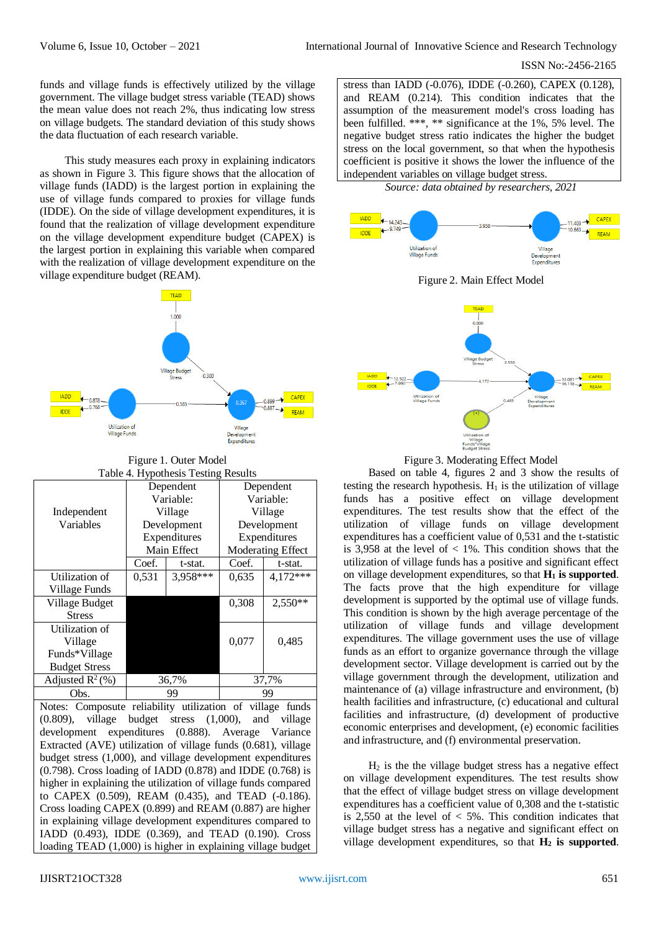funds and village funds is effectively utilized by the village government. The village budget stress variable (TEAD) shows the mean value does not reach 2%, thus indicating low stress on village budgets. The standard deviation of this study shows the data fluctuation of each research variable.

This study measures each proxy in explaining indicators as shown in Figure 3. This figure shows that the allocation of village funds (IADD) is the largest portion in explaining the use of village funds compared to proxies for village funds (IDDE). On the side of village development expenditures, it is found that the realization of village development expenditure on the village development expenditure budget (CAPEX) is the largest portion in explaining this variable when compared with the realization of village development expenditure on the village expenditure budget (REAM).



Figure 1. Outer Model Table 4. Hypothesis Testing Results

| Table 4. Hypothesis Testing Results |              |          |                          |              |
|-------------------------------------|--------------|----------|--------------------------|--------------|
|                                     | Dependent    |          | Dependent                |              |
|                                     | Variable:    |          | Variable:                |              |
| Independent                         | Village      |          | Village                  |              |
| Variables                           | Development  |          | Development              |              |
|                                     | Expenditures |          |                          | Expenditures |
|                                     | Main Effect  |          | <b>Moderating Effect</b> |              |
|                                     | Coef.        | t-stat.  | Coef.                    | t-stat.      |
| Utilization of                      | 0,531        | 3,958*** | 0.635                    | 4,172***     |
| Village Funds                       |              |          |                          |              |
| Village Budget                      |              |          | 0,308                    | 2,550**      |
| <b>Stress</b>                       |              |          |                          |              |
| Utilization of                      |              |          |                          |              |
| Village                             |              |          | 0,077                    | 0,485        |
| Funds*Village                       |              |          |                          |              |
| <b>Budget Stress</b>                |              |          |                          |              |
| Adjusted $R^2$ (%)                  | 36,7%        |          | 37,7%                    |              |
| Obs.                                | 99           |          | 99                       |              |

Notes: Composute reliability utilization of village funds (0.809), village budget stress (1,000), and village development expenditures (0.888). Average Variance Extracted (AVE) utilization of village funds (0.681), village budget stress (1,000), and village development expenditures (0.798). Cross loading of IADD (0.878) and IDDE (0.768) is higher in explaining the utilization of village funds compared to CAPEX (0.509), REAM (0.435), and TEAD (-0.186). Cross loading CAPEX (0.899) and REAM (0.887) are higher in explaining village development expenditures compared to IADD (0.493), IDDE (0.369), and TEAD (0.190). Cross loading TEAD (1,000) is higher in explaining village budget stress than IADD (-0.076), IDDE (-0.260), CAPEX (0.128), and REAM (0.214). This condition indicates that the assumption of the measurement model's cross loading has been fulfilled. \*\*\*, \*\* significance at the 1%, 5% level. The negative budget stress ratio indicates the higher the budget stress on the local government, so that when the hypothesis coefficient is positive it shows the lower the influence of the independent variables on village budget stress.

*Source: data obtained by researchers, 2021*



Figure 2. Main Effect Model



Figure 3. Moderating Effect Model

Based on table 4, figures 2 and 3 show the results of testing the research hypothesis.  $H_1$  is the utilization of village funds has a positive effect on village development expenditures. The test results show that the effect of the utilization of village funds on village development expenditures has a coefficient value of 0,531 and the t-statistic is 3,958 at the level of  $< 1\%$ . This condition shows that the utilization of village funds has a positive and significant effect on village development expenditures, so that **H<sup>1</sup> is supported**. The facts prove that the high expenditure for village development is supported by the optimal use of village funds. This condition is shown by the high average percentage of the utilization of village funds and village development expenditures. The village government uses the use of village funds as an effort to organize governance through the village development sector. Village development is carried out by the village government through the development, utilization and maintenance of (a) village infrastructure and environment, (b) health facilities and infrastructure, (c) educational and cultural facilities and infrastructure, (d) development of productive economic enterprises and development, (e) economic facilities and infrastructure, and (f) environmental preservation.

 $H<sub>2</sub>$  is the the village budget stress has a negative effect on village development expenditures. The test results show that the effect of village budget stress on village development expenditures has a coefficient value of 0,308 and the t-statistic is 2,550 at the level of  $<$  5%. This condition indicates that village budget stress has a negative and significant effect on village development expenditures, so that **H<sup>2</sup> is supported**.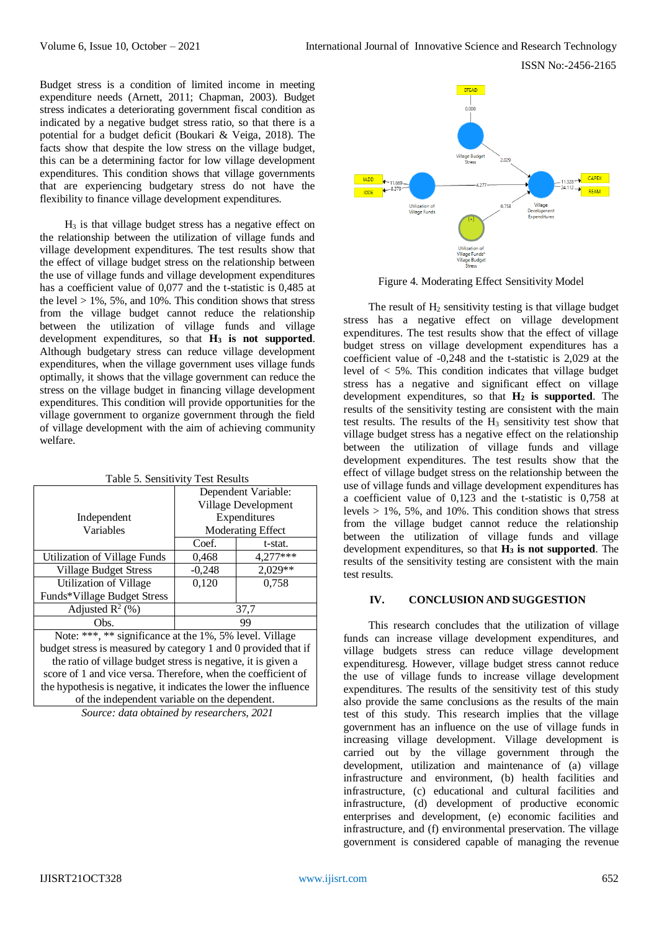Budget stress is a condition of limited income in meeting expenditure needs (Arnett, 2011; Chapman, 2003). Budget stress indicates a deteriorating government fiscal condition as indicated by a negative budget stress ratio, so that there is a potential for a budget deficit (Boukari & Veiga, 2018). The facts show that despite the low stress on the village budget, this can be a determining factor for low village development expenditures. This condition shows that village governments that are experiencing budgetary stress do not have the flexibility to finance village development expenditures.

 $H<sub>3</sub>$  is that village budget stress has a negative effect on the relationship between the utilization of village funds and village development expenditures. The test results show that the effect of village budget stress on the relationship between the use of village funds and village development expenditures has a coefficient value of 0,077 and the t-statistic is 0,485 at the level  $> 1\%$ , 5%, and 10%. This condition shows that stress from the village budget cannot reduce the relationship between the utilization of village funds and village development expenditures, so that **H<sup>3</sup> is not supported**. Although budgetary stress can reduce village development expenditures, when the village government uses village funds optimally, it shows that the village government can reduce the stress on the village budget in financing village development expenditures. This condition will provide opportunities for the village government to organize government through the field of village development with the aim of achieving community welfare.

| Dependent Variable:                      |          |
|------------------------------------------|----------|
| Village Development                      |          |
| Expenditures<br><b>Moderating Effect</b> |          |
|                                          |          |
| 0,468                                    | 4,277*** |
| $-0,248$                                 | 2,029**  |
| 0,120                                    | 0,758    |
|                                          |          |
| 37,7                                     |          |
| 99                                       |          |
|                                          |          |

Note: \*\*\*, \*\* significance at the 1%, 5% level. Village budget stress is measured by category 1 and 0 provided that if the ratio of village budget stress is negative, it is given a score of 1 and vice versa. Therefore, when the coefficient of the hypothesis is negative, it indicates the lower the influence of the independent variable on the dependent.

*Source: data obtained by researchers, 2021*



Figure 4. Moderating Effect Sensitivity Model

The result of  $H_2$  sensitivity testing is that village budget stress has a negative effect on village development expenditures. The test results show that the effect of village budget stress on village development expenditures has a coefficient value of -0,248 and the t-statistic is 2,029 at the level of < 5%. This condition indicates that village budget stress has a negative and significant effect on village development expenditures, so that **H<sup>2</sup> is supported**. The results of the sensitivity testing are consistent with the main test results. The results of the  $H_3$  sensitivity test show that village budget stress has a negative effect on the relationship between the utilization of village funds and village development expenditures. The test results show that the effect of village budget stress on the relationship between the use of village funds and village development expenditures has a coefficient value of 0,123 and the t-statistic is 0,758 at levels  $> 1\%$ , 5%, and 10%. This condition shows that stress from the village budget cannot reduce the relationship between the utilization of village funds and village development expenditures, so that **H<sup>3</sup> is not supported**. The results of the sensitivity testing are consistent with the main test results.

## **IV. CONCLUSION AND SUGGESTION**

This research concludes that the utilization of village funds can increase village development expenditures, and village budgets stress can reduce village development expendituresg. However, village budget stress cannot reduce the use of village funds to increase village development expenditures. The results of the sensitivity test of this study also provide the same conclusions as the results of the main test of this study. This research implies that the village government has an influence on the use of village funds in increasing village development. Village development is carried out by the village government through the development, utilization and maintenance of (a) village infrastructure and environment, (b) health facilities and infrastructure, (c) educational and cultural facilities and infrastructure, (d) development of productive economic enterprises and development, (e) economic facilities and infrastructure, and (f) environmental preservation. The village government is considered capable of managing the revenue